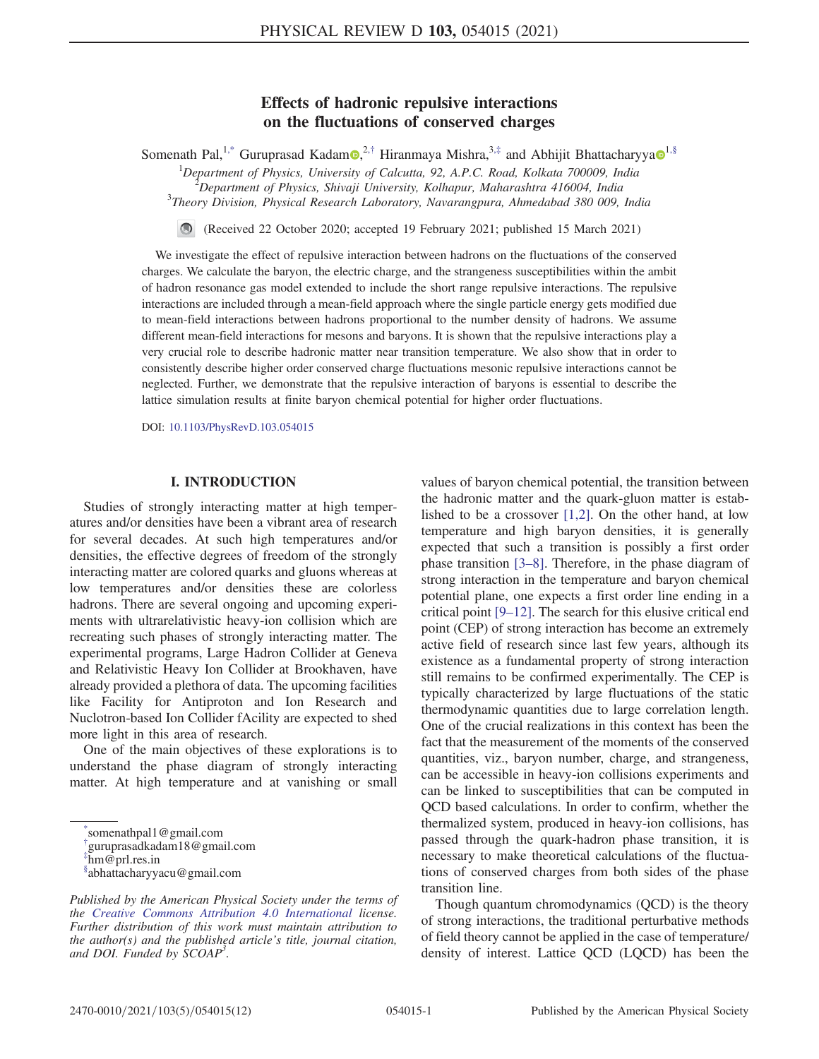# Effects of hadronic repulsive interactions on the fluctuations of conserved charges

Somenath Pal,<sup>1,\*</sup> Guruprasad Kadam<sup>o</sup>,<sup>2,†</sup> Hiranmaya Mishra,<sup>3,‡</sup> and Abhijit Bhattacharyya<sup>o</sup><sup>1,§</sup>

 $1$ Department of Physics, University of Calcutta, 92, A.P.C. Road, Kolkata 700009, India

 $^{2}$ Department of Physics, Shivaji University, Kolhapur, Maharashtra 416004, India

<sup>3</sup>Theory Division, Physical Research Laboratory, Navarangpura, Ahmedabad 380 009, India

 $\bigcirc$ (Received 22 October 2020; accepted 19 February 2021; published 15 March 2021)

We investigate the effect of repulsive interaction between hadrons on the fluctuations of the conserved charges. We calculate the baryon, the electric charge, and the strangeness susceptibilities within the ambit of hadron resonance gas model extended to include the short range repulsive interactions. The repulsive interactions are included through a mean-field approach where the single particle energy gets modified due to mean-field interactions between hadrons proportional to the number density of hadrons. We assume different mean-field interactions for mesons and baryons. It is shown that the repulsive interactions play a very crucial role to describe hadronic matter near transition temperature. We also show that in order to consistently describe higher order conserved charge fluctuations mesonic repulsive interactions cannot be neglected. Further, we demonstrate that the repulsive interaction of baryons is essential to describe the lattice simulation results at finite baryon chemical potential for higher order fluctuations.

DOI: 10.1103/PhysRevD.103.054015

### I. INTRODUCTION

Studies of strongly interacting matter at high temperatures and/or densities have been a vibrant area of research for several decades. At such high temperatures and/or densities, the effective degrees of freedom of the strongly interacting matter are colored quarks and gluons whereas at low temperatures and/or densities these are colorless hadrons. There are several ongoing and upcoming experiments with ultrarelativistic heavy-ion collision which are recreating such phases of strongly interacting matter. The experimental programs, Large Hadron Collider at Geneva and Relativistic Heavy Ion Collider at Brookhaven, have already provided a plethora of data. The upcoming facilities like Facility for Antiproton and Ion Research and Nuclotron-based Ion Collider fAcility are expected to shed more light in this area of research.

One of the main objectives of these explorations is to understand the phase diagram of strongly interacting matter. At high temperature and at vanishing or small

† guruprasadkadam18@gmail.com

values of baryon chemical potential, the transition between the hadronic matter and the quark-gluon matter is established to be a crossover [1,2]. On the other hand, at low temperature and high baryon densities, it is generally expected that such a transition is possibly a first order phase transition [3–8]. Therefore, in the phase diagram of strong interaction in the temperature and baryon chemical potential plane, one expects a first order line ending in a critical point [9–12]. The search for this elusive critical end point (CEP) of strong interaction has become an extremely active field of research since last few years, although its existence as a fundamental property of strong interaction still remains to be confirmed experimentally. The CEP is typically characterized by large fluctuations of the static thermodynamic quantities due to large correlation length. One of the crucial realizations in this context has been the fact that the measurement of the moments of the conserved quantities, viz., baryon number, charge, and strangeness, can be accessible in heavy-ion collisions experiments and can be linked to susceptibilities that can be computed in QCD based calculations. In order to confirm, whether the thermalized system, produced in heavy-ion collisions, has passed through the quark-hadron phase transition, it is necessary to make theoretical calculations of the fluctuations of conserved charges from both sides of the phase transition line.

Though quantum chromodynamics (QCD) is the theory of strong interactions, the traditional perturbative methods of field theory cannot be applied in the case of temperature/ density of interest. Lattice QCD (LQCD) has been the

<sup>\*</sup> somenathpal1@gmail.com

 $\lim_{m \to \infty}$  prl.res.in

<sup>§</sup> abhattacharyyacu@gmail.com

Published by the American Physical Society under the terms of the Creative Commons Attribution 4.0 International license. Further distribution of this work must maintain attribution to the author(s) and the published article's title, journal citation, and DOI. Funded by  $\dot{S}COAP^3$ .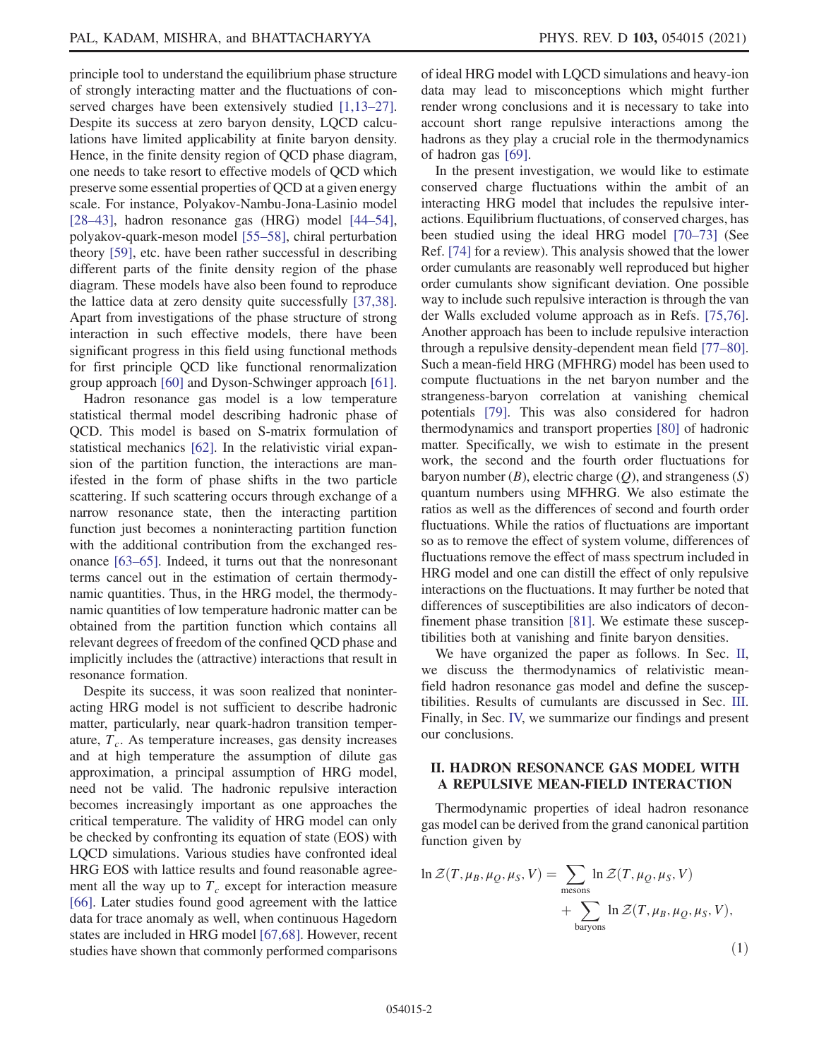principle tool to understand the equilibrium phase structure of strongly interacting matter and the fluctuations of conserved charges have been extensively studied [1,13–27]. Despite its success at zero baryon density, LQCD calculations have limited applicability at finite baryon density. Hence, in the finite density region of QCD phase diagram, one needs to take resort to effective models of QCD which preserve some essential properties of QCD at a given energy scale. For instance, Polyakov-Nambu-Jona-Lasinio model [28–43], hadron resonance gas (HRG) model [44–54], polyakov-quark-meson model [55–58], chiral perturbation theory [59], etc. have been rather successful in describing different parts of the finite density region of the phase diagram. These models have also been found to reproduce the lattice data at zero density quite successfully [37,38]. Apart from investigations of the phase structure of strong interaction in such effective models, there have been significant progress in this field using functional methods for first principle QCD like functional renormalization group approach [60] and Dyson-Schwinger approach [61].

Hadron resonance gas model is a low temperature statistical thermal model describing hadronic phase of QCD. This model is based on S-matrix formulation of statistical mechanics [62]. In the relativistic virial expansion of the partition function, the interactions are manifested in the form of phase shifts in the two particle scattering. If such scattering occurs through exchange of a narrow resonance state, then the interacting partition function just becomes a noninteracting partition function with the additional contribution from the exchanged resonance [63–65]. Indeed, it turns out that the nonresonant terms cancel out in the estimation of certain thermodynamic quantities. Thus, in the HRG model, the thermodynamic quantities of low temperature hadronic matter can be obtained from the partition function which contains all relevant degrees of freedom of the confined QCD phase and implicitly includes the (attractive) interactions that result in resonance formation.

Despite its success, it was soon realized that noninteracting HRG model is not sufficient to describe hadronic matter, particularly, near quark-hadron transition temperature,  $T_c$ . As temperature increases, gas density increases and at high temperature the assumption of dilute gas approximation, a principal assumption of HRG model, need not be valid. The hadronic repulsive interaction becomes increasingly important as one approaches the critical temperature. The validity of HRG model can only be checked by confronting its equation of state (EOS) with LQCD simulations. Various studies have confronted ideal HRG EOS with lattice results and found reasonable agreement all the way up to  $T_c$  except for interaction measure [66]. Later studies found good agreement with the lattice data for trace anomaly as well, when continuous Hagedorn states are included in HRG model [67,68]. However, recent studies have shown that commonly performed comparisons of ideal HRG model with LQCD simulations and heavy-ion data may lead to misconceptions which might further render wrong conclusions and it is necessary to take into account short range repulsive interactions among the hadrons as they play a crucial role in the thermodynamics of hadron gas [69].

In the present investigation, we would like to estimate conserved charge fluctuations within the ambit of an interacting HRG model that includes the repulsive interactions. Equilibrium fluctuations, of conserved charges, has been studied using the ideal HRG model [70–73] (See Ref. [74] for a review). This analysis showed that the lower order cumulants are reasonably well reproduced but higher order cumulants show significant deviation. One possible way to include such repulsive interaction is through the van der Walls excluded volume approach as in Refs. [75,76]. Another approach has been to include repulsive interaction through a repulsive density-dependent mean field [77–80]. Such a mean-field HRG (MFHRG) model has been used to compute fluctuations in the net baryon number and the strangeness-baryon correlation at vanishing chemical potentials [79]. This was also considered for hadron thermodynamics and transport properties [80] of hadronic matter. Specifically, we wish to estimate in the present work, the second and the fourth order fluctuations for baryon number  $(B)$ , electric charge  $(Q)$ , and strangeness  $(S)$ quantum numbers using MFHRG. We also estimate the ratios as well as the differences of second and fourth order fluctuations. While the ratios of fluctuations are important so as to remove the effect of system volume, differences of fluctuations remove the effect of mass spectrum included in HRG model and one can distill the effect of only repulsive interactions on the fluctuations. It may further be noted that differences of susceptibilities are also indicators of deconfinement phase transition [81]. We estimate these susceptibilities both at vanishing and finite baryon densities.

We have organized the paper as follows. In Sec. II, we discuss the thermodynamics of relativistic meanfield hadron resonance gas model and define the susceptibilities. Results of cumulants are discussed in Sec. III. Finally, in Sec. IV, we summarize our findings and present our conclusions.

# II. HADRON RESONANCE GAS MODEL WITH A REPULSIVE MEAN-FIELD INTERACTION

Thermodynamic properties of ideal hadron resonance gas model can be derived from the grand canonical partition function given by

$$
\ln \mathcal{Z}(T, \mu_B, \mu_Q, \mu_S, V) = \sum_{\text{mesons}} \ln \mathcal{Z}(T, \mu_Q, \mu_S, V) + \sum_{\text{baryons}} \ln \mathcal{Z}(T, \mu_B, \mu_Q, \mu_S, V),
$$
\n(1)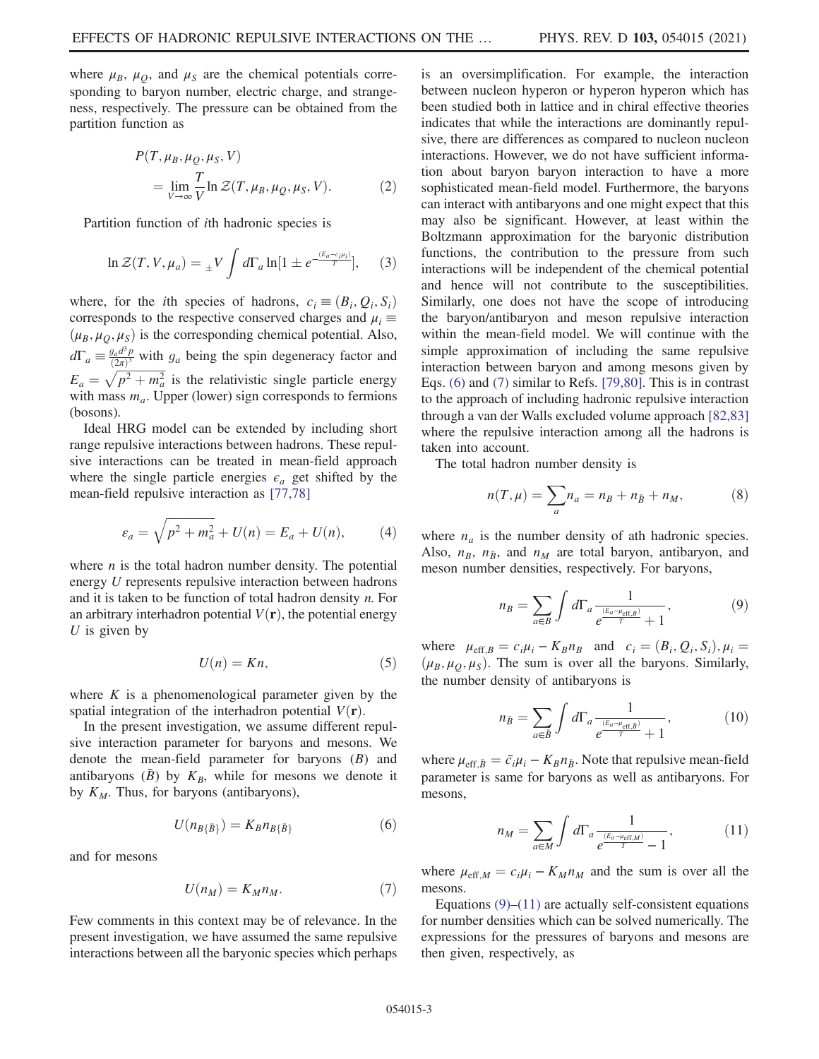where  $\mu_B$ ,  $\mu_O$ , and  $\mu_S$  are the chemical potentials corresponding to baryon number, electric charge, and strangeness, respectively. The pressure can be obtained from the partition function as

$$
P(T, \mu_B, \mu_Q, \mu_S, V)
$$
  
= 
$$
\lim_{V \to \infty} \frac{T}{V} \ln \mathcal{Z}(T, \mu_B, \mu_Q, \mu_S, V).
$$
 (2)

Partition function of ith hadronic species is

$$
\ln \mathcal{Z}(T, V, \mu_a) = {}_{\pm}V \int d\Gamma_a \ln[1 \pm e^{-\frac{(E_a - c_i \mu_i)}{T}}], \quad (3)
$$

where, for the *i*th species of hadrons,  $c_i = (B_i, Q_i, S_i)$ corresponds to the respective conserved charges and  $\mu_i \equiv$  $(\mu_B, \mu_Q, \mu_S)$  is the corresponding chemical potential. Also,  $d\Gamma_a \equiv \frac{g_a d^3 p}{(2\pi)^3}$  $\frac{g_a d^2 p}{(2\pi)^3}$  with  $g_a$  being the spin degeneracy factor and  $E_a = \sqrt{p^2 + m_a^2}$  is the relativistic single particle energy with mass  $m_a$ . Upper (lower) sign corresponds to fermions (bosons).

Ideal HRG model can be extended by including short range repulsive interactions between hadrons. These repulsive interactions can be treated in mean-field approach where the single particle energies  $\epsilon_a$  get shifted by the mean-field repulsive interaction as [77,78]

$$
\varepsilon_a = \sqrt{p^2 + m_a^2} + U(n) = E_a + U(n), \tag{4}
$$

where  $n$  is the total hadron number density. The potential energy U represents repulsive interaction between hadrons and it is taken to be function of total hadron density n. For an arbitrary interhadron potential  $V(\mathbf{r})$ , the potential energy  $U$  is given by

$$
U(n) = Kn,\t\t(5)
$$

where  $K$  is a phenomenological parameter given by the spatial integration of the interhadron potential  $V(\mathbf{r})$ .

In the present investigation, we assume different repulsive interaction parameter for baryons and mesons. We denote the mean-field parameter for baryons  $(B)$  and antibaryons  $(\bar{B})$  by  $K_B$ , while for mesons we denote it by  $K_M$ . Thus, for baryons (antibaryons),

$$
U(n_{B\{\bar{B}\}}) = K_B n_{B\{\bar{B}\}} \tag{6}
$$

and for mesons

$$
U(n_M) = K_M n_M. \tag{7}
$$

Few comments in this context may be of relevance. In the present investigation, we have assumed the same repulsive interactions between all the baryonic species which perhaps is an oversimplification. For example, the interaction between nucleon hyperon or hyperon hyperon which has been studied both in lattice and in chiral effective theories indicates that while the interactions are dominantly repulsive, there are differences as compared to nucleon nucleon interactions. However, we do not have sufficient information about baryon baryon interaction to have a more sophisticated mean-field model. Furthermore, the baryons can interact with antibaryons and one might expect that this may also be significant. However, at least within the Boltzmann approximation for the baryonic distribution functions, the contribution to the pressure from such interactions will be independent of the chemical potential and hence will not contribute to the susceptibilities. Similarly, one does not have the scope of introducing the baryon/antibaryon and meson repulsive interaction within the mean-field model. We will continue with the simple approximation of including the same repulsive interaction between baryon and among mesons given by Eqs. (6) and (7) similar to Refs. [79,80]. This is in contrast to the approach of including hadronic repulsive interaction through a van der Walls excluded volume approach [82,83] where the repulsive interaction among all the hadrons is taken into account.

The total hadron number density is

$$
n(T, \mu) = \sum_{a} n_a = n_B + n_{\bar{B}} + n_M, \tag{8}
$$

where  $n_a$  is the number density of ath hadronic species. Also,  $n_B$ ,  $n_{\bar{B}}$ , and  $n_M$  are total baryon, antibaryon, and meson number densities, respectively. For baryons,

$$
n_B = \sum_{a \in B} \int d\Gamma_a \frac{1}{e^{\frac{(E_a - \mu_{\text{eff},B})}{T}} + 1},\tag{9}
$$

where  $\mu_{\text{eff},B} = c_i \mu_i - K_B n_B$  and  $c_i = (B_i, Q_i, S_i), \mu_i =$  $(\mu_B, \mu_Q, \mu_S)$ . The sum is over all the baryons. Similarly, the number density of antibaryons is

$$
n_{\bar{B}} = \sum_{a \in \bar{B}} \int d\Gamma_a \frac{1}{e^{\frac{(E_a - \mu_{\text{eff},\bar{B}})}{T}} + 1},\tag{10}
$$

where  $\mu_{\text{eff},\bar{B}} = \bar{c}_i \mu_i - K_B n_{\bar{B}}$ . Note that repulsive mean-field parameter is same for baryons as well as antibaryons. For mesons,

$$
n_M = \sum_{a \in M} \int d\Gamma_a \frac{1}{e^{\frac{(E_a - \mu_{\text{eff},M})}{T}} - 1},\tag{11}
$$

where  $\mu_{\text{eff},M} = c_i \mu_i - K_M n_M$  and the sum is over all the mesons.

Equations  $(9)$ – $(11)$  are actually self-consistent equations for number densities which can be solved numerically. The expressions for the pressures of baryons and mesons are then given, respectively, as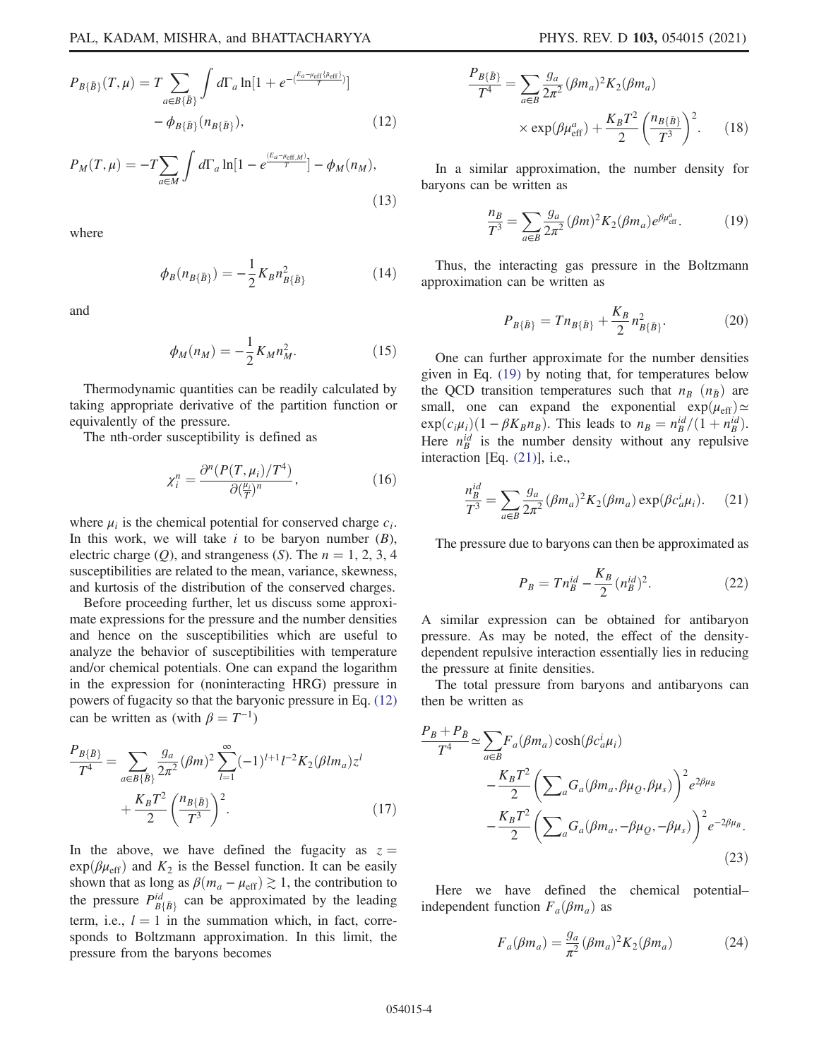$$
P_{B\{\bar{B}\}}(T,\mu) = T \sum_{a \in B\{\bar{B}\}} \int d\Gamma_a \ln[1 + e^{-\langle \frac{E_a - \mu_{\text{eff}}\{B_{\text{eff}}\}}{T}\rangle}]
$$

$$
- \phi_{B\{\bar{B}\}}(n_{B\{\bar{B}\}}), \qquad (12)
$$

$$
P_M(T,\mu) = -T \sum_{a \in M} \int d\Gamma_a \ln[1 - e^{\frac{(E_a - \mu_{\text{eff},M})}{T}}] - \phi_M(n_M),\tag{13}
$$

where

$$
\phi_B(n_{B\{\bar{B}\}}) = -\frac{1}{2}K_B n_{B\{\bar{B}\}}^2 \tag{14}
$$

and

$$
\phi_M(n_M) = -\frac{1}{2} K_M n_M^2. \tag{15}
$$

Thermodynamic quantities can be readily calculated by taking appropriate derivative of the partition function or equivalently of the pressure.

The nth-order susceptibility is defined as

$$
\chi_i^n = \frac{\partial^n (P(T, \mu_i)/T^4)}{\partial (\frac{\mu_i}{T})^n},\tag{16}
$$

where  $\mu_i$  is the chemical potential for conserved charge  $c_i$ . In this work, we will take  $i$  to be baryon number  $(B)$ , electric charge  $(Q)$ , and strangeness  $(S)$ . The  $n = 1, 2, 3, 4$ susceptibilities are related to the mean, variance, skewness, and kurtosis of the distribution of the conserved charges.

Before proceeding further, let us discuss some approximate expressions for the pressure and the number densities and hence on the susceptibilities which are useful to analyze the behavior of susceptibilities with temperature and/or chemical potentials. One can expand the logarithm in the expression for (noninteracting HRG) pressure in powers of fugacity so that the baryonic pressure in Eq. (12) can be written as (with  $\beta = T^{-1}$ )

$$
\frac{P_{B\{\bar{B}\}}}{T^4} = \sum_{a \in B\{\bar{B}\}} \frac{g_a}{2\pi^2} (\beta m)^2 \sum_{l=1}^{\infty} (-1)^{l+1} l^{-2} K_2(\beta l m_a) z^l + \frac{K_B T^2}{2} \left(\frac{n_{B\{\bar{B}\}}}{T^3}\right)^2.
$$
\n(17)

In the above, we have defined the fugacity as  $z =$  $exp(\beta \mu_{eff})$  and  $K_2$  is the Bessel function. It can be easily shown that as long as  $\beta(m_a - \mu_{\text{eff}}) \gtrsim 1$ , the contribution to the pressure  $P_{B\{\bar{B}\}}^{id}$  can be approximated by the leading term, i.e.,  $l = 1$  in the summation which, in fact, corresponds to Boltzmann approximation. In this limit, the pressure from the baryons becomes

$$
\frac{P_{B\{\bar{B}\}}}{T^4} = \sum_{a \in B} \frac{g_a}{2\pi^2} (\beta m_a)^2 K_2(\beta m_a)
$$

$$
\times \exp(\beta \mu_{\text{eff}}^a) + \frac{K_B T^2}{2} \left(\frac{n_{B\{\bar{B}\}}}{T^3}\right)^2. \tag{18}
$$

In a similar approximation, the number density for baryons can be written as

$$
\frac{n_B}{T^3} = \sum_{a \in B} \frac{g_a}{2\pi^2} (\beta m)^2 K_2(\beta m_a) e^{\beta \mu_{\text{eff}}^a}.
$$
 (19)

Thus, the interacting gas pressure in the Boltzmann approximation can be written as

$$
P_{B\{\bar{B}\}} = T n_{B\{\bar{B}\}} + \frac{K_B}{2} n_{B\{\bar{B}\}}^2. \tag{20}
$$

One can further approximate for the number densities given in Eq. (19) by noting that, for temperatures below the QCD transition temperatures such that  $n_B$   $(n_{\bar{B}})$  are small, one can expand the exponential  $\exp(\mu_{\text{eff}}) \simeq$  $\exp(c_i \mu_i)(1 - \beta K_B n_B)$ . This leads to  $n_B = \frac{ni d}{B} / (1 + n_B^{id})$ . Here  $n_B^{id}$  is the number density without any repulsive interaction [Eq. (21)], i.e.,

$$
\frac{n_B^{id}}{T^3} = \sum_{a \in B} \frac{g_a}{2\pi^2} (\beta m_a)^2 K_2(\beta m_a) \exp(\beta c_a^i \mu_i). \tag{21}
$$

The pressure due to baryons can then be approximated as

$$
P_B = T n_B^{id} - \frac{K_B}{2} (n_B^{id})^2.
$$
 (22)

A similar expression can be obtained for antibaryon pressure. As may be noted, the effect of the densitydependent repulsive interaction essentially lies in reducing the pressure at finite densities.

The total pressure from baryons and antibaryons can then be written as

$$
\frac{P_B + P_{\bar{B}}}{T^4} \simeq \sum_{a \in B} F_a(\beta m_a) \cosh(\beta c_a^i \mu_i)
$$

$$
- \frac{K_B T^2}{2} \left( \sum_a G_a(\beta m_a, \beta \mu_Q, \beta \mu_s) \right)^2 e^{2\beta \mu_B}
$$

$$
- \frac{K_B T^2}{2} \left( \sum_a G_a(\beta m_a, -\beta \mu_Q, -\beta \mu_s) \right)^2 e^{-2\beta \mu_B}.
$$
(23)

Here we have defined the chemical potential– independent function  $F_a(\beta m_a)$  as

$$
F_a(\beta m_a) = \frac{g_a}{\pi^2} (\beta m_a)^2 K_2(\beta m_a) \tag{24}
$$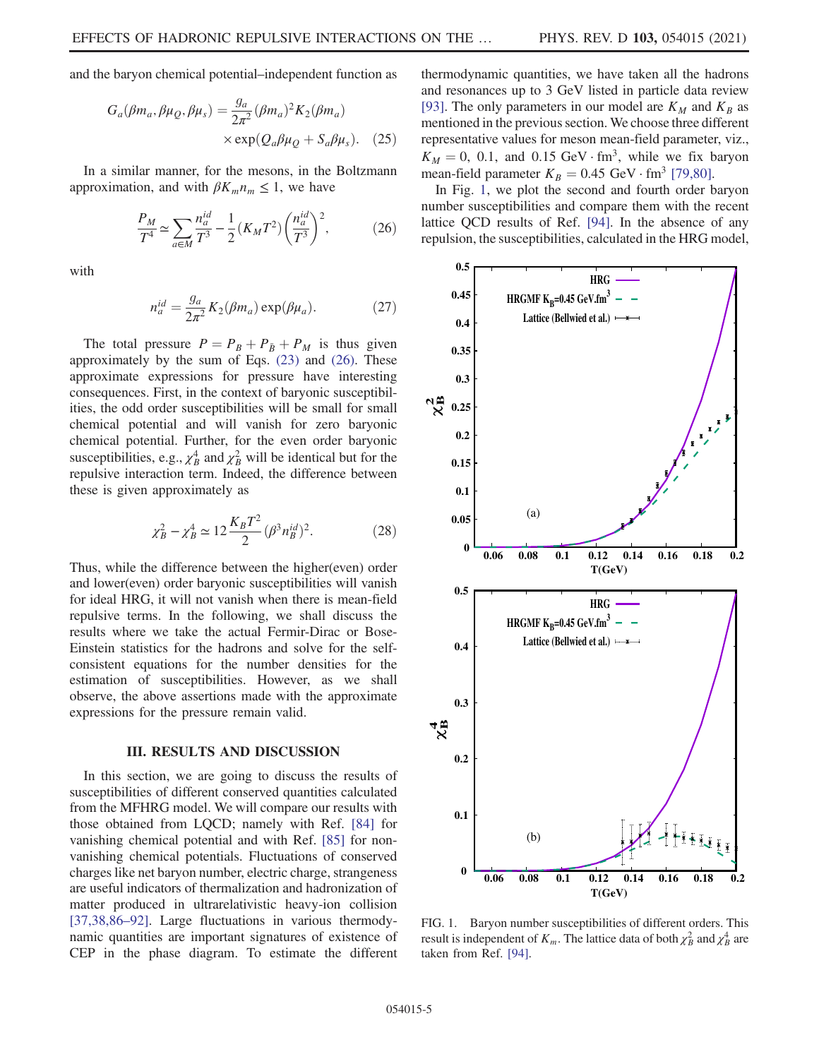and the baryon chemical potential–independent function as

$$
G_a(\beta m_a, \beta \mu_Q, \beta \mu_s) = \frac{g_a}{2\pi^2} (\beta m_a)^2 K_2(\beta m_a)
$$
  
× exp( $Q_a \beta \mu_Q + S_a \beta \mu_s$ ). (25)

In a similar manner, for the mesons, in the Boltzmann approximation, and with  $\beta K_m n_m \leq 1$ , we have

$$
\frac{P_M}{T^4} \simeq \sum_{a \in M} \frac{n_a^{id}}{T^3} - \frac{1}{2} (K_M T^2) \left(\frac{n_a^{id}}{T^3}\right)^2,\tag{26}
$$

with

$$
n_a^{id} = \frac{g_a}{2\pi^2} K_2(\beta m_a) \exp(\beta \mu_a).
$$
 (27)

The total pressure  $P = P_B + P_{\bar{B}} + P_M$  is thus given approximately by the sum of Eqs. (23) and (26). These approximate expressions for pressure have interesting consequences. First, in the context of baryonic susceptibilities, the odd order susceptibilities will be small for small chemical potential and will vanish for zero baryonic chemical potential. Further, for the even order baryonic susceptibilities, e.g.,  $\chi^4_B$  $\frac{4}{B}$  and  $\chi^2_B$  will be identical but for the repulsive interaction term. Indeed, the difference between these is given approximately as

$$
\chi_B^2 - \chi_B^4 \simeq 12 \frac{K_B T^2}{2} (\beta^3 n_B^{id})^2.
$$
 (28)

Thus, while the difference between the higher(even) order and lower(even) order baryonic susceptibilities will vanish for ideal HRG, it will not vanish when there is mean-field repulsive terms. In the following, we shall discuss the results where we take the actual Fermir-Dirac or Bose-Einstein statistics for the hadrons and solve for the selfconsistent equations for the number densities for the estimation of susceptibilities. However, as we shall observe, the above assertions made with the approximate expressions for the pressure remain valid.

### III. RESULTS AND DISCUSSION

In this section, we are going to discuss the results of susceptibilities of different conserved quantities calculated from the MFHRG model. We will compare our results with those obtained from LQCD; namely with Ref. [84] for vanishing chemical potential and with Ref. [85] for nonvanishing chemical potentials. Fluctuations of conserved charges like net baryon number, electric charge, strangeness are useful indicators of thermalization and hadronization of matter produced in ultrarelativistic heavy-ion collision [37,38,86–92]. Large fluctuations in various thermodynamic quantities are important signatures of existence of CEP in the phase diagram. To estimate the different thermodynamic quantities, we have taken all the hadrons and resonances up to 3 GeV listed in particle data review [93]. The only parameters in our model are  $K_M$  and  $K_B$  as mentioned in the previous section. We choose three different representative values for meson mean-field parameter, viz.,  $K_M = 0$ , 0.1, and 0.15 GeV · fm<sup>3</sup>, while we fix baryon mean-field parameter  $K_B = 0.45 \text{ GeV} \cdot \text{fm}^3$  [79,80].

In Fig. 1, we plot the second and fourth order baryon number susceptibilities and compare them with the recent lattice QCD results of Ref. [94]. In the absence of any repulsion, the susceptibilities, calculated in the HRG model,



FIG. 1. Baryon number susceptibilities of different orders. This result is independent of  $K_m$ . The lattice data of both  $\chi_B^2$  and  $\chi_B^4$  are taken from Ref. [94].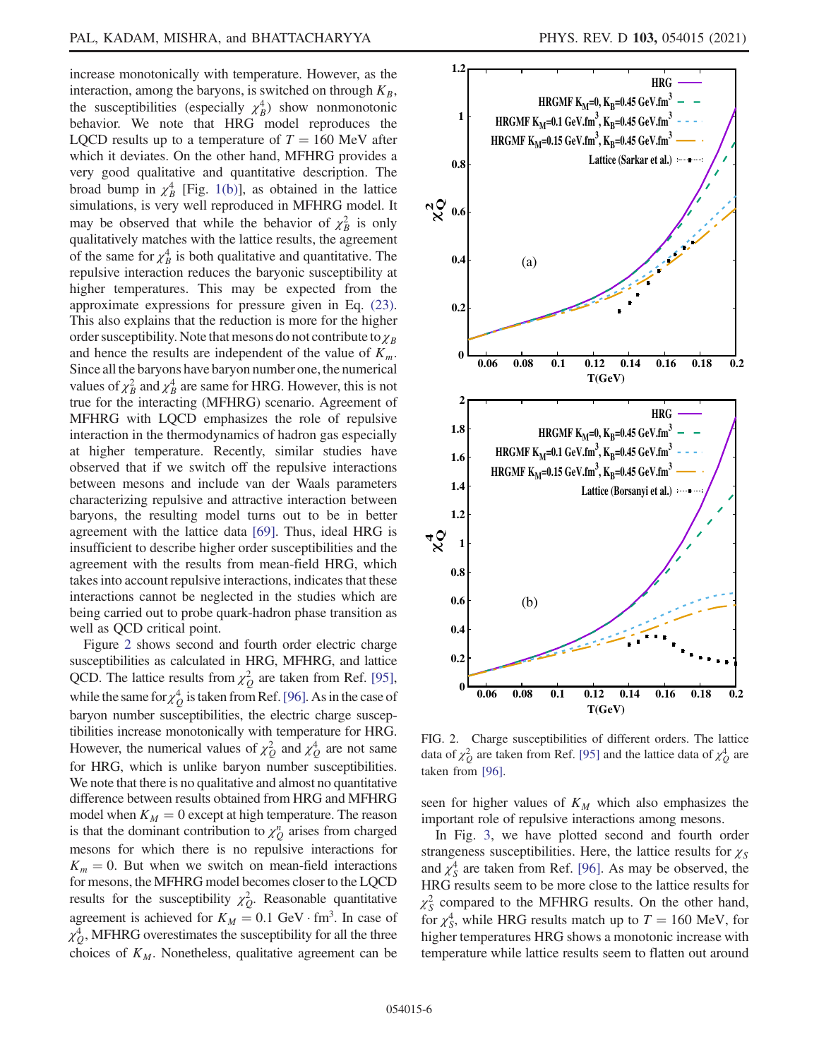increase monotonically with temperature. However, as the interaction, among the baryons, is switched on through  $K_B$ , the susceptibilities (especially  $\chi_B^4$ ) show nonmonotonic behavior. We note that HRG model reproduces the LQCD results up to a temperature of  $T = 160$  MeV after which it deviates. On the other hand, MFHRG provides a very good qualitative and quantitative description. The broad bump in  $\chi_B^4$  [Fig. 1(b)], as obtained in the lattice simulations, is very well reproduced in MFHRG model. It may be observed that while the behavior of  $\chi^2_B$  is only qualitatively matches with the lattice results, the agreement of the same for  $\chi^4_B$  is both qualitative and quantitative. The repulsive interaction reduces the baryonic susceptibility at higher temperatures. This may be expected from the approximate expressions for pressure given in Eq. (23). This also explains that the reduction is more for the higher order susceptibility. Note that mesons do not contribute to  $\chi_B$ and hence the results are independent of the value of  $K_m$ . Since all the baryons have baryon number one, the numerical values of  $\chi^2_B$  and  $\chi^4_B$  are same for HRG. However, this is not true for the interacting (MFHRG) scenario. Agreement of MFHRG with LQCD emphasizes the role of repulsive interaction in the thermodynamics of hadron gas especially at higher temperature. Recently, similar studies have observed that if we switch off the repulsive interactions between mesons and include van der Waals parameters characterizing repulsive and attractive interaction between baryons, the resulting model turns out to be in better agreement with the lattice data [69]. Thus, ideal HRG is insufficient to describe higher order susceptibilities and the agreement with the results from mean-field HRG, which takes into account repulsive interactions, indicates that these interactions cannot be neglected in the studies which are being carried out to probe quark-hadron phase transition as well as QCD critical point.

Figure 2 shows second and fourth order electric charge susceptibilities as calculated in HRG, MFHRG, and lattice QCD. The lattice results from  $\chi_Q^2$  are taken from Ref. [95], while the same for  $\chi^4$  $_{Q}^{4}$  is taken from Ref. [96]. As in the case of baryon number susceptibilities, the electric charge susceptibilities increase monotonically with temperature for HRG. However, the numerical values of  $\chi^2$  $\frac{2}{Q}$  and  $\chi^4$  $_{Q}^{4}$  are not same for HRG, which is unlike baryon number susceptibilities. We note that there is no qualitative and almost no quantitative difference between results obtained from HRG and MFHRG model when  $K_M = 0$  except at high temperature. The reason is that the dominant contribution to  $\chi_Q^n$  arises from charged mesons for which there is no repulsive interactions for  $K_m = 0$ . But when we switch on mean-field interactions for mesons, the MFHRG model becomes closer to the LQCD results for the susceptibility  $\chi^2$  $_{Q}^{2}$ . Reasonable quantitative agreement is achieved for  $K_M = 0.1$  GeV · fm<sup>3</sup>. In case of  $\chi_Q^4$ , MFHRG overestimates the susceptibility for all the three choices of  $K_M$ . Nonetheless, qualitative agreement can be



FIG. 2. Charge susceptibilities of different orders. The lattice data of  $\chi_Q^2$  are taken from Ref. [95] and the lattice data of  $\chi_Q^4$  are taken from [96].

seen for higher values of  $K_M$  which also emphasizes the important role of repulsive interactions among mesons.

In Fig. 3, we have plotted second and fourth order strangeness susceptibilities. Here, the lattice results for  $\chi_S$ and  $\chi^4_s$  $S<sub>S</sub><sup>4</sup>$  are taken from Ref. [96]. As may be observed, the HRG results seem to be more close to the lattice results for  $\chi^2_{\rm S}$  $\frac{2}{s}$  compared to the MFHRG results. On the other hand, for  $\chi^4_s$  $^{4}_{S}$ , while HRG results match up to  $T = 160$  MeV, for higher temperatures HRG shows a monotonic increase with temperature while lattice results seem to flatten out around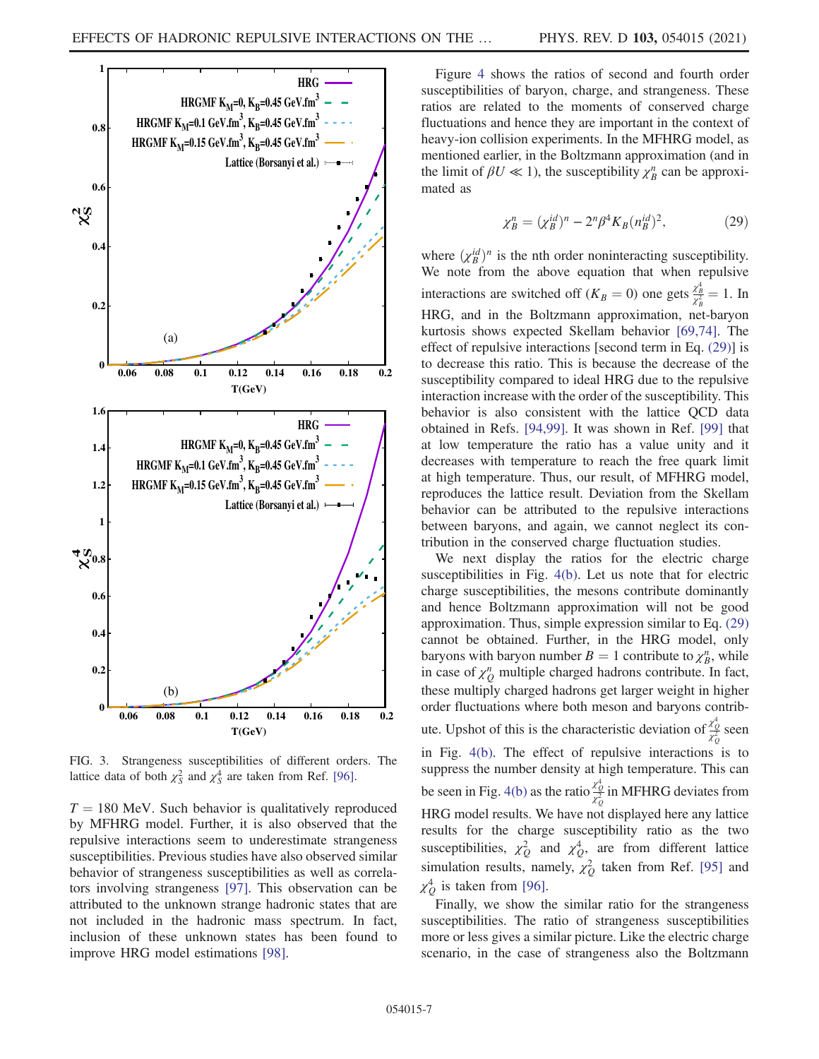

FIG. 3. Strangeness susceptibilities of different orders. The lattice data of both  $\chi^2_S$  and  $\chi^4_S$  are taken from Ref. [96].

 $T = 180$  MeV. Such behavior is qualitatively reproduced by MFHRG model. Further, it is also observed that the repulsive interactions seem to underestimate strangeness susceptibilities. Previous studies have also observed similar behavior of strangeness susceptibilities as well as correlators involving strangeness [97]. This observation can be attributed to the unknown strange hadronic states that are not included in the hadronic mass spectrum. In fact, inclusion of these unknown states has been found to improve HRG model estimations [98].

Figure 4 shows the ratios of second and fourth order susceptibilities of baryon, charge, and strangeness. These ratios are related to the moments of conserved charge fluctuations and hence they are important in the context of heavy-ion collision experiments. In the MFHRG model, as mentioned earlier, in the Boltzmann approximation (and in the limit of  $\beta U \ll 1$ ), the susceptibility  $\chi_B^n$  can be approximated as

$$
\chi_B^n = (\chi_B^{id})^n - 2^n \beta^4 K_B(n_B^{id})^2, \qquad (29)
$$

where  $(\chi_B^{id})^n$  is the nth order noninteracting susceptibility. We note from the above equation that when repulsive interactions are switched off  $(K_B = 0)$  one gets  $\frac{\chi_B^4}{\chi_B^2} = 1$ . In HRG, and in the Boltzmann approximation, net-baryon kurtosis shows expected Skellam behavior [69,74]. The effect of repulsive interactions [second term in Eq. (29)] is to decrease this ratio. This is because the decrease of the susceptibility compared to ideal HRG due to the repulsive interaction increase with the order of the susceptibility. This behavior is also consistent with the lattice QCD data obtained in Refs. [94,99]. It was shown in Ref. [99] that at low temperature the ratio has a value unity and it decreases with temperature to reach the free quark limit at high temperature. Thus, our result, of MFHRG model, reproduces the lattice result. Deviation from the Skellam behavior can be attributed to the repulsive interactions between baryons, and again, we cannot neglect its contribution in the conserved charge fluctuation studies.

We next display the ratios for the electric charge susceptibilities in Fig. 4(b). Let us note that for electric charge susceptibilities, the mesons contribute dominantly and hence Boltzmann approximation will not be good approximation. Thus, simple expression similar to Eq. (29) cannot be obtained. Further, in the HRG model, only baryons with baryon number  $B = 1$  contribute to  $\chi_B^n$ , while in case of  $\chi_Q^n$  multiple charged hadrons contribute. In fact, these multiply charged hadrons get larger weight in higher order fluctuations where both meson and baryons contribute. Upshot of this is the characteristic deviation of  $\frac{x_0^4}{x_0^2}$  seen in Fig. 4(b). The effect of repulsive interactions is to suppress the number density at high temperature. This can be seen in Fig. 4(b) as the ratio  $\frac{x_0^4}{x_0^2}$  in MFHRG deviates from HRG model results. We have not displayed here any lattice results for the charge susceptibility ratio as the two susceptibilities,  $\chi_Q^2$  and  $\chi_Q^4$ , are from different lattice simulation results, namely,  $\chi^2$  $_{Q}^{2}$  taken from Ref. [95] and χ 4  $_{\mathcal{Q}}^4$  is taken from [96].

Finally, we show the similar ratio for the strangeness susceptibilities. The ratio of strangeness susceptibilities more or less gives a similar picture. Like the electric charge scenario, in the case of strangeness also the Boltzmann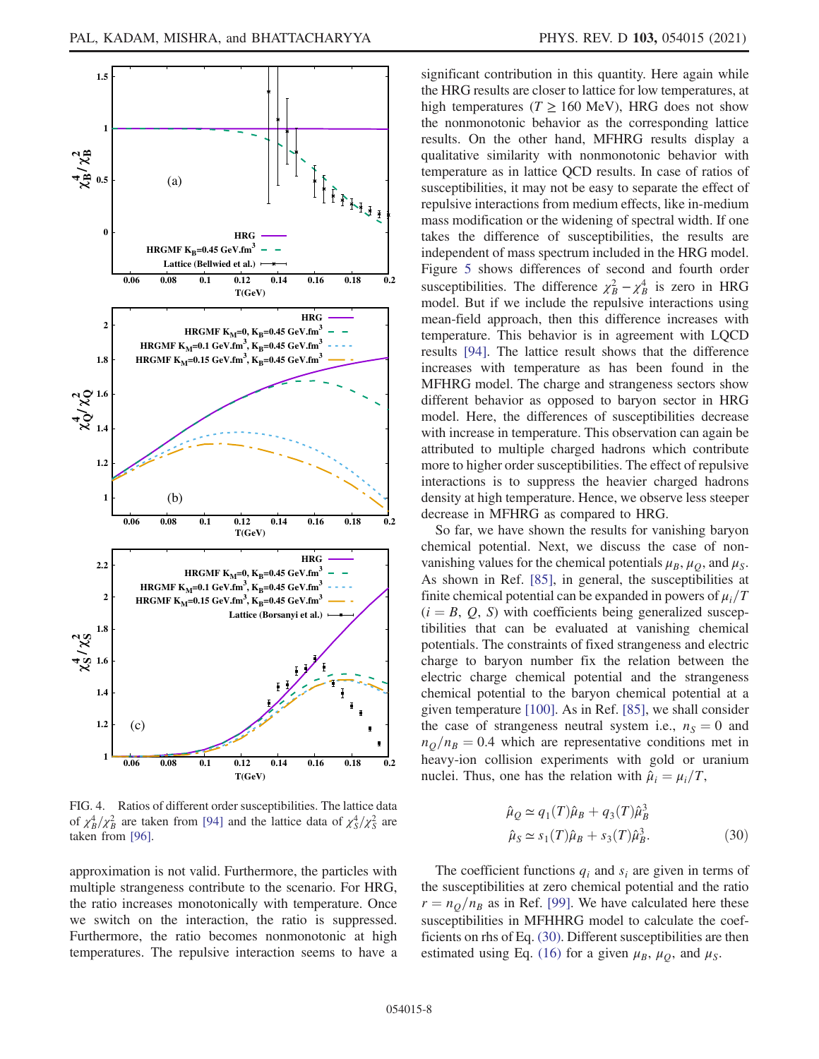

FIG. 4. Ratios of different order susceptibilities. The lattice data of  $\chi_B^4/\chi_B^2$  are taken from [94] and the lattice data of  $\chi_S^4/\chi_S^2$  are taken from [96].

approximation is not valid. Furthermore, the particles with multiple strangeness contribute to the scenario. For HRG, the ratio increases monotonically with temperature. Once we switch on the interaction, the ratio is suppressed. Furthermore, the ratio becomes nonmonotonic at high temperatures. The repulsive interaction seems to have a significant contribution in this quantity. Here again while the HRG results are closer to lattice for low temperatures, at high temperatures ( $T \ge 160$  MeV), HRG does not show the nonmonotonic behavior as the corresponding lattice results. On the other hand, MFHRG results display a qualitative similarity with nonmonotonic behavior with temperature as in lattice QCD results. In case of ratios of susceptibilities, it may not be easy to separate the effect of repulsive interactions from medium effects, like in-medium mass modification or the widening of spectral width. If one takes the difference of susceptibilities, the results are independent of mass spectrum included in the HRG model. Figure 5 shows differences of second and fourth order susceptibilities. The difference  $\chi^2_B - \chi^4_B$  is zero in HRG model. But if we include the repulsive interactions using mean-field approach, then this difference increases with temperature. This behavior is in agreement with LQCD results [94]. The lattice result shows that the difference increases with temperature as has been found in the MFHRG model. The charge and strangeness sectors show different behavior as opposed to baryon sector in HRG model. Here, the differences of susceptibilities decrease with increase in temperature. This observation can again be attributed to multiple charged hadrons which contribute more to higher order susceptibilities. The effect of repulsive interactions is to suppress the heavier charged hadrons density at high temperature. Hence, we observe less steeper decrease in MFHRG as compared to HRG.

So far, we have shown the results for vanishing baryon chemical potential. Next, we discuss the case of nonvanishing values for the chemical potentials  $\mu_B$ ,  $\mu_Q$ , and  $\mu_S$ . As shown in Ref. [85], in general, the susceptibilities at finite chemical potential can be expanded in powers of  $\mu_i/T$  $(i = B, Q, S)$  with coefficients being generalized susceptibilities that can be evaluated at vanishing chemical potentials. The constraints of fixed strangeness and electric charge to baryon number fix the relation between the electric charge chemical potential and the strangeness chemical potential to the baryon chemical potential at a given temperature [100]. As in Ref. [85], we shall consider the case of strangeness neutral system i.e.,  $n<sub>S</sub> = 0$  and  $n_0/n_B = 0.4$  which are representative conditions met in heavy-ion collision experiments with gold or uranium nuclei. Thus, one has the relation with  $\hat{\mu}_i = \mu_i/T$ ,

$$
\hat{\mu}_Q \simeq q_1(T)\hat{\mu}_B + q_3(T)\hat{\mu}_B^3
$$
  

$$
\hat{\mu}_S \simeq s_1(T)\hat{\mu}_B + s_3(T)\hat{\mu}_B^3.
$$
 (30)

The coefficient functions  $q_i$  and  $s_i$  are given in terms of the susceptibilities at zero chemical potential and the ratio  $r = n_Q/n_B$  as in Ref. [99]. We have calculated here these susceptibilities in MFHHRG model to calculate the coefficients on rhs of Eq. (30). Different susceptibilities are then estimated using Eq. (16) for a given  $\mu_B$ ,  $\mu_Q$ , and  $\mu_S$ .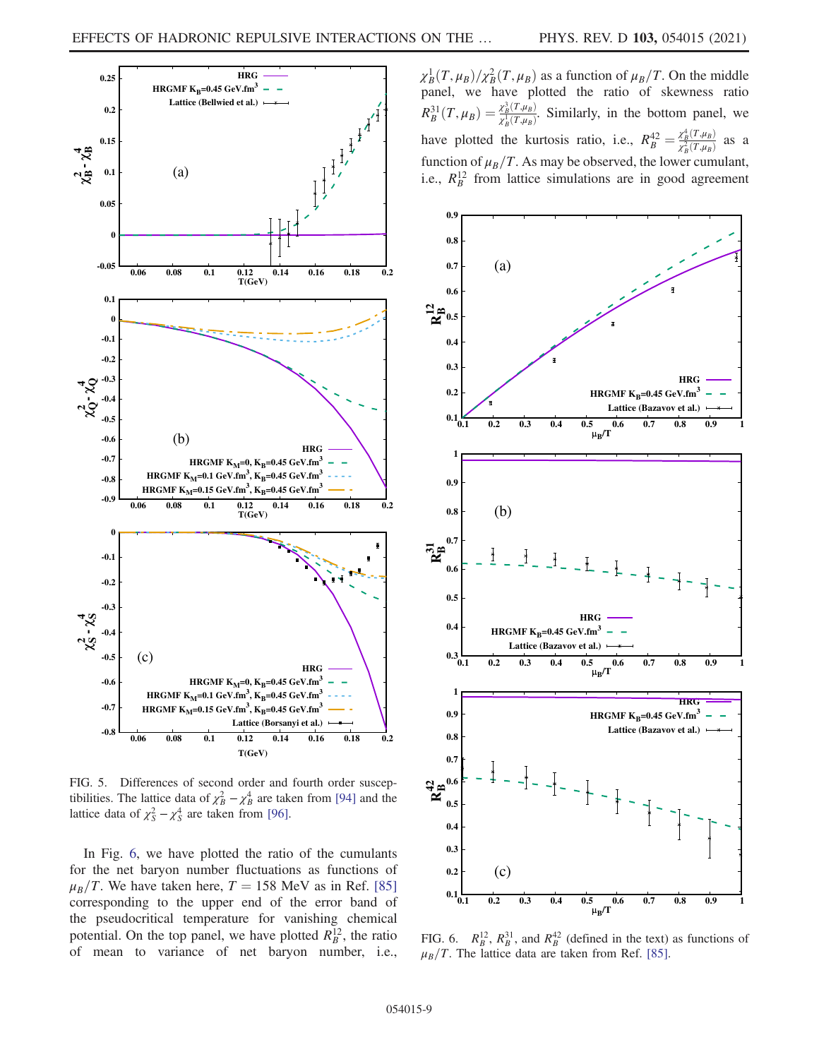

FIG. 5. Differences of second order and fourth order susceptibilities. The lattice data of  $\chi_B^2 - \chi_B^4$  are taken from [94] and the lattice data of  $\chi^2_S - \chi^4_S$  are taken from [96].

In Fig. 6, we have plotted the ratio of the cumulants for the net baryon number fluctuations as functions of  $\mu_B/T$ . We have taken here,  $T = 158$  MeV as in Ref. [85] corresponding to the upper end of the error band of the pseudocritical temperature for vanishing chemical potential. On the top panel, we have plotted  $R_B^{12}$  $\frac{12}{B}$ , the ratio of mean to variance of net baryon number, i.e.,

 $\chi_B^1(T,\mu_B)/\chi_B^2(T,\mu_B)$  as a function of  $\mu_B/T$ . On the middle panel, we have plotted the ratio of skewness ratio  $R_B^{31}$  $\frac{\partial^3 B}{\partial B}(T,\mu_B)=\frac{\chi_B^3(T,\mu_B)}{\chi_B^1(T,\mu_B)}$  $\frac{\chi_B(I, \mu_B)}{\chi_B^1(T, \mu_B)}$ . Similarly, in the bottom panel, we have plotted the kurtosis ratio, i.e.,  $R_B^{42} = \frac{\chi_B^4(T,\mu_B)}{\chi_B^2(T,\mu_B)}$ 4  $\frac{\chi_B(T,\mu_B)}{\chi_B^2(T,\mu_B)}$  as a function of  $\mu_B/T$ . As may be observed, the lower cumulant, i.e.,  $R_B^{12}$  from lattice simulations are in good agreement



FIG. 6.  $R_B^{12}$ ,  $R_B^{31}$ , and  $R_B^{42}$  (defined in the text) as functions of  $\mu_B/T$ . The lattice data are taken from Ref. [85].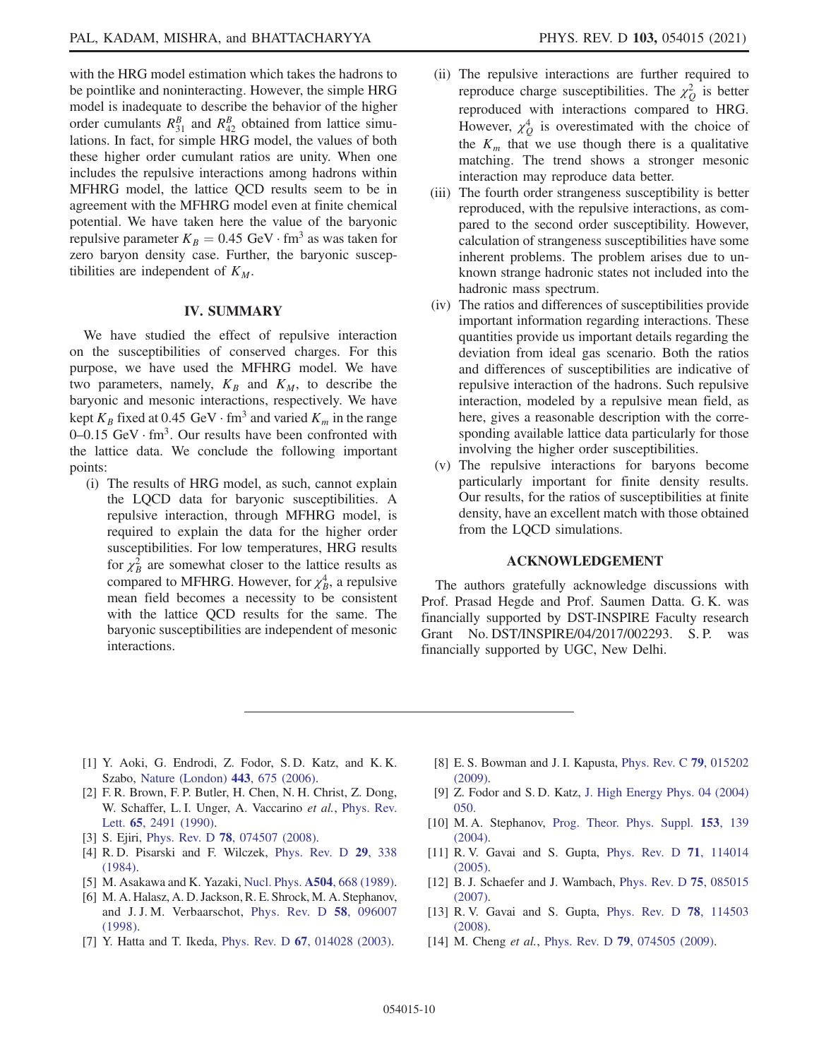with the HRG model estimation which takes the hadrons to be pointlike and noninteracting. However, the simple HRG model is inadequate to describe the behavior of the higher order cumulants  $R_{31}^B$  and  $R_{42}^B$  obtained from lattice simulations. In fact, for simple HRG model, the values of both these higher order cumulant ratios are unity. When one includes the repulsive interactions among hadrons within MFHRG model, the lattice QCD results seem to be in agreement with the MFHRG model even at finite chemical potential. We have taken here the value of the baryonic repulsive parameter  $K_B = 0.45 \text{ GeV} \cdot \text{fm}^3$  as was taken for zero baryon density case. Further, the baryonic susceptibilities are independent of  $K_M$ .

# IV. SUMMARY

We have studied the effect of repulsive interaction on the susceptibilities of conserved charges. For this purpose, we have used the MFHRG model. We have two parameters, namely,  $K_B$  and  $K_M$ , to describe the baryonic and mesonic interactions, respectively. We have kept  $K_B$  fixed at 0.45 GeV  $\cdot$  fm<sup>3</sup> and varied  $K_m$  in the range  $0-0.15$  GeV $\cdot$  fm<sup>3</sup>. Our results have been confronted with the lattice data. We conclude the following important points:

(i) The results of HRG model, as such, cannot explain the LQCD data for baryonic susceptibilities. A repulsive interaction, through MFHRG model, is required to explain the data for the higher order susceptibilities. For low temperatures, HRG results for  $\chi^2$  $\frac{2}{B}$  are somewhat closer to the lattice results as compared to MFHRG. However, for  $\chi^4_B$  $_B^4$ , a repulsive mean field becomes a necessity to be consistent with the lattice QCD results for the same. The baryonic susceptibilities are independent of mesonic interactions.

- (ii) The repulsive interactions are further required to reproduce charge susceptibilities. The  $\chi^2$  ${}^2_Q$  is better reproduced with interactions compared to HRG. However,  $\chi^4$  $_{\mathcal{Q}}^4$  is overestimated with the choice of the  $K_m$  that we use though there is a qualitative matching. The trend shows a stronger mesonic interaction may reproduce data better.
- (iii) The fourth order strangeness susceptibility is better reproduced, with the repulsive interactions, as compared to the second order susceptibility. However, calculation of strangeness susceptibilities have some inherent problems. The problem arises due to unknown strange hadronic states not included into the hadronic mass spectrum.
- (iv) The ratios and differences of susceptibilities provide important information regarding interactions. These quantities provide us important details regarding the deviation from ideal gas scenario. Both the ratios and differences of susceptibilities are indicative of repulsive interaction of the hadrons. Such repulsive interaction, modeled by a repulsive mean field, as here, gives a reasonable description with the corresponding available lattice data particularly for those involving the higher order susceptibilities.
- (v) The repulsive interactions for baryons become particularly important for finite density results. Our results, for the ratios of susceptibilities at finite density, have an excellent match with those obtained from the LQCD simulations.

#### ACKNOWLEDGEMENT

The authors gratefully acknowledge discussions with Prof. Prasad Hegde and Prof. Saumen Datta. G. K. was financially supported by DST-INSPIRE Faculty research Grant No. DST/INSPIRE/04/2017/002293. S. P. was financially supported by UGC, New Delhi.

- [1] Y. Aoki, G. Endrodi, Z. Fodor, S. D. Katz, and K. K. Szabo, Nature (London) 443, 675 (2006).
- [2] F. R. Brown, F. P. Butler, H. Chen, N. H. Christ, Z. Dong, W. Schaffer, L. I. Unger, A. Vaccarino et al., Phys. Rev. Lett. 65, 2491 (1990).
- [3] S. Ejiri, Phys. Rev. D **78**, 074507 (2008).
- [4] R. D. Pisarski and F. Wilczek, Phys. Rev. D 29, 338 (1984).
- [5] M. Asakawa and K. Yazaki, Nucl. Phys. A504, 668 (1989).
- [6] M. A. Halasz, A. D. Jackson, R. E. Shrock, M. A. Stephanov, and J. J. M. Verbaarschot, Phys. Rev. D 58, 096007 (1998).
- [7] Y. Hatta and T. Ikeda, Phys. Rev. D 67, 014028 (2003).
- [8] E. S. Bowman and J. I. Kapusta, Phys. Rev. C 79, 015202 (2009).
- [9] Z. Fodor and S. D. Katz, J. High Energy Phys. 04 (2004) 050.
- [10] M.A. Stephanov, Prog. Theor. Phys. Suppl. 153, 139 (2004).
- [11] R. V. Gavai and S. Gupta, Phys. Rev. D 71, 114014 (2005).
- [12] B. J. Schaefer and J. Wambach, *Phys. Rev. D* **75**, 085015 (2007).
- [13] R. V. Gavai and S. Gupta, Phys. Rev. D **78**, 114503 (2008).
- [14] M. Cheng et al., Phys. Rev. D **79**, 074505 (2009).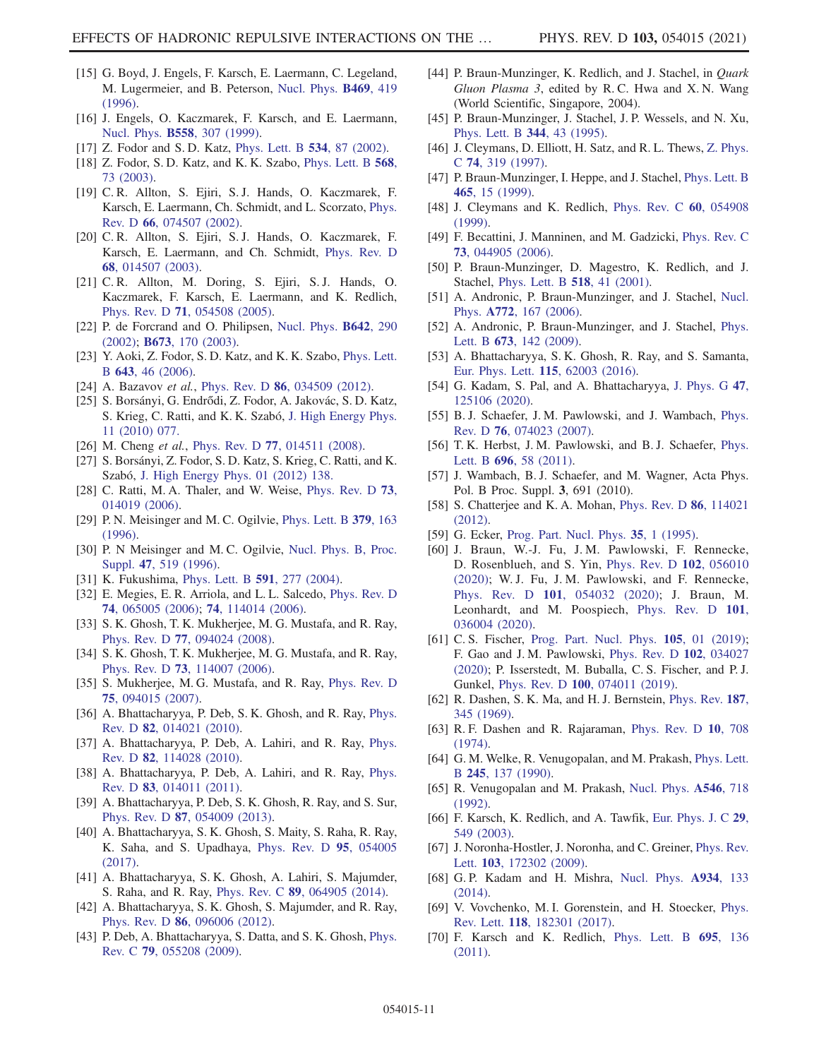- [15] G. Boyd, J. Engels, F. Karsch, E. Laermann, C. Legeland, M. Lugermeier, and B. Peterson, Nucl. Phys. B469, 419  $(1996)$
- [16] J. Engels, O. Kaczmarek, F. Karsch, and E. Laermann, Nucl. Phys. B558, 307 (1999).
- [17] Z. Fodor and S. D. Katz, Phys. Lett. B **534**, 87 (2002).
- [18] Z. Fodor, S. D. Katz, and K. K. Szabo, *Phys. Lett. B* 568, 73 (2003).
- [19] C. R. Allton, S. Ejiri, S. J. Hands, O. Kaczmarek, F. Karsch, E. Laermann, Ch. Schmidt, and L. Scorzato, Phys. Rev. D 66, 074507 (2002).
- [20] C. R. Allton, S. Ejiri, S. J. Hands, O. Kaczmarek, F. Karsch, E. Laermann, and Ch. Schmidt, Phys. Rev. D 68, 014507 (2003).
- [21] C. R. Allton, M. Doring, S. Ejiri, S. J. Hands, O. Kaczmarek, F. Karsch, E. Laermann, and K. Redlich, Phys. Rev. D 71, 054508 (2005).
- [22] P. de Forcrand and O. Philipsen, Nucl. Phys. **B642**, 290 (2002); B673, 170 (2003).
- [23] Y. Aoki, Z. Fodor, S. D. Katz, and K. K. Szabo, Phys. Lett. B 643, 46 (2006).
- [24] A. Bazavov et al., Phys. Rev. D 86, 034509 (2012).
- [25] S. Borsányi, G. Endrődi, Z. Fodor, A. Jakovác, S. D. Katz, S. Krieg, C. Ratti, and K. K. Szabó, J. High Energy Phys. 11 (2010) 077.
- [26] M. Cheng et al., Phys. Rev. D 77, 014511 (2008).
- [27] S. Borsányi, Z. Fodor, S. D. Katz, S. Krieg, C. Ratti, and K. Szabó, J. High Energy Phys. 01 (2012) 138.
- [28] C. Ratti, M. A. Thaler, and W. Weise, Phys. Rev. D 73, 014019 (2006).
- [29] P. N. Meisinger and M. C. Ogilvie, Phys. Lett. B 379, 163 (1996).
- [30] P. N Meisinger and M. C. Ogilvie, Nucl. Phys. B, Proc. Suppl. 47, 519 (1996).
- [31] K. Fukushima, Phys. Lett. B 591, 277 (2004).
- [32] E. Megies, E. R. Arriola, and L. L. Salcedo, Phys. Rev. D 74, 065005 (2006); 74, 114014 (2006).
- [33] S. K. Ghosh, T. K. Mukherjee, M. G. Mustafa, and R. Ray, Phys. Rev. D 77, 094024 (2008).
- [34] S. K. Ghosh, T. K. Mukherjee, M. G. Mustafa, and R. Ray, Phys. Rev. D 73, 114007 (2006).
- [35] S. Mukherjee, M. G. Mustafa, and R. Ray, Phys. Rev. D 75, 094015 (2007).
- [36] A. Bhattacharyya, P. Deb, S. K. Ghosh, and R. Ray, Phys. Rev. D 82, 014021 (2010).
- [37] A. Bhattacharyya, P. Deb, A. Lahiri, and R. Ray, Phys. Rev. D 82, 114028 (2010).
- [38] A. Bhattacharyya, P. Deb, A. Lahiri, and R. Ray, Phys. Rev. D 83, 014011 (2011).
- [39] A. Bhattacharyya, P. Deb, S. K. Ghosh, R. Ray, and S. Sur, Phys. Rev. D 87, 054009 (2013).
- [40] A. Bhattacharyya, S. K. Ghosh, S. Maity, S. Raha, R. Ray, K. Saha, and S. Upadhaya, Phys. Rev. D 95, 054005 (2017).
- [41] A. Bhattacharyya, S. K. Ghosh, A. Lahiri, S. Majumder, S. Raha, and R. Ray, Phys. Rev. C 89, 064905 (2014).
- [42] A. Bhattacharyya, S. K. Ghosh, S. Majumder, and R. Ray, Phys. Rev. D 86, 096006 (2012).
- [43] P. Deb, A. Bhattacharyya, S. Datta, and S. K. Ghosh, Phys. Rev. C 79, 055208 (2009).
- [44] P. Braun-Munzinger, K. Redlich, and J. Stachel, in Quark Gluon Plasma 3, edited by R. C. Hwa and X. N. Wang (World Scientific, Singapore, 2004).
- [45] P. Braun-Munzinger, J. Stachel, J. P. Wessels, and N. Xu, Phys. Lett. B 344, 43 (1995).
- [46] J. Cleymans, D. Elliott, H. Satz, and R. L. Thews, Z. Phys. C 74, 319 (1997).
- [47] P. Braun-Munzinger, I. Heppe, and J. Stachel, Phys. Lett. B 465, 15 (1999).
- [48] J. Cleymans and K. Redlich, *Phys. Rev. C* 60, 054908 (1999).
- [49] F. Becattini, J. Manninen, and M. Gadzicki, Phys. Rev. C 73, 044905 (2006).
- [50] P. Braun-Munzinger, D. Magestro, K. Redlich, and J. Stachel, Phys. Lett. B 518, 41 (2001).
- [51] A. Andronic, P. Braun-Munzinger, and J. Stachel, Nucl. Phys. A772, 167 (2006).
- [52] A. Andronic, P. Braun-Munzinger, and J. Stachel, Phys. Lett. B **673**, 142 (2009).
- [53] A. Bhattacharyya, S. K. Ghosh, R. Ray, and S. Samanta, Eur. Phys. Lett. 115, 62003 (2016).
- [54] G. Kadam, S. Pal, and A. Bhattacharyya, J. Phys. G 47, 125106 (2020).
- [55] B. J. Schaefer, J. M. Pawlowski, and J. Wambach, Phys. Rev. D 76, 074023 (2007).
- [56] T. K. Herbst, J. M. Pawlowski, and B. J. Schaefer, Phys. Lett. B 696, 58 (2011).
- [57] J. Wambach, B. J. Schaefer, and M. Wagner, Acta Phys. Pol. B Proc. Suppl. 3, 691 (2010).
- [58] S. Chatterjee and K. A. Mohan, Phys. Rev. D 86, 114021 (2012).
- [59] G. Ecker, Prog. Part. Nucl. Phys. 35, 1 (1995).
- [60] J. Braun, W.-J. Fu, J. M. Pawlowski, F. Rennecke, D. Rosenblueh, and S. Yin, Phys. Rev. D 102, 056010 (2020); W. J. Fu, J. M. Pawlowski, and F. Rennecke, Phys. Rev. D 101, 054032 (2020); J. Braun, M. Leonhardt, and M. Poospiech, Phys. Rev. D 101, 036004 (2020).
- [61] C. S. Fischer, Prog. Part. Nucl. Phys. **105**, 01 (2019); F. Gao and J. M. Pawlowski, Phys. Rev. D 102, 034027 (2020); P. Isserstedt, M. Buballa, C. S. Fischer, and P. J. Gunkel, Phys. Rev. D 100, 074011 (2019).
- [62] R. Dashen, S. K. Ma, and H. J. Bernstein, Phys. Rev. 187, 345 (1969).
- [63] R. F. Dashen and R. Rajaraman, Phys. Rev. D 10, 708 (1974).
- [64] G. M. Welke, R. Venugopalan, and M. Prakash, Phys. Lett. B 245, 137 (1990).
- [65] R. Venugopalan and M. Prakash, Nucl. Phys. A546, 718 (1992).
- [66] F. Karsch, K. Redlich, and A. Tawfik, Eur. Phys. J. C 29, 549 (2003).
- [67] J. Noronha-Hostler, J. Noronha, and C. Greiner, Phys. Rev. Lett. 103, 172302 (2009).
- [68] G. P. Kadam and H. Mishra, Nucl. Phys. A934, 133 (2014).
- [69] V. Vovchenko, M. I. Gorenstein, and H. Stoecker, Phys. Rev. Lett. 118, 182301 (2017).
- [70] F. Karsch and K. Redlich, Phys. Lett. B 695, 136 (2011).